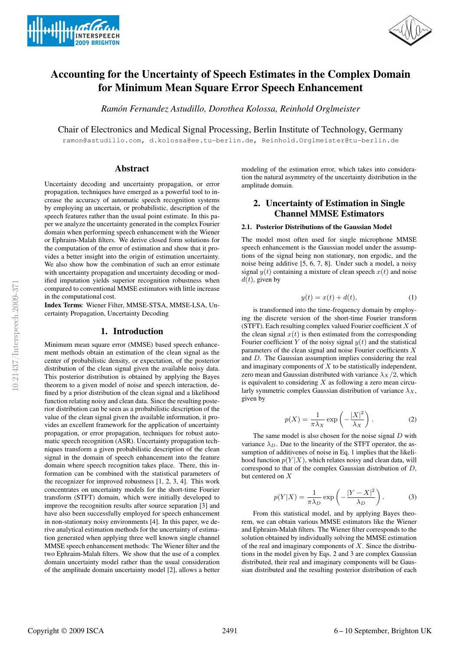



# Accounting for the Uncertainty of Speech Estimates in the Complex Domain for Minimum Mean Square Error Speech Enhancement

*Ramon Fernandez Astudillo, Dorothea Kolossa, Reinhold Orglmeister ´*

Chair of Electronics and Medical Signal Processing, Berlin Institute of Technology, Germany

ramon@astudillo.com, d.kolossa@ee.tu-berlin.de, Reinhold.Orglmeister@tu-berlin.de

### Abstract

Uncertainty decoding and uncertainty propagation, or error propagation, techniques have emerged as a powerful tool to increase the accuracy of automatic speech recognition systems by employing an uncertain, or probabilistic, description of the speech features rather than the usual point estimate. In this paper we analyze the uncertainty generated in the complex Fourier domain when performing speech enhancement with the Wiener or Ephraim-Malah filters. We derive closed form solutions for the computation of the error of estimation and show that it provides a better insight into the origin of estimation uncertainty. We also show how the combination of such an error estimate with uncertainty propagation and uncertainty decoding or modified imputation yields superior recognition robustness when compared to conventional MMSE estimators with little increase in the computational cost.

Index Terms: Wiener Filter, MMSE-STSA, MMSE-LSA, Uncertainty Propagation, Uncertainty Decoding

### 1. Introduction

Minimum mean square error (MMSE) based speech enhancement methods obtain an estimation of the clean signal as the center of probabilistic density, or expectation, of the posterior distribution of the clean signal given the available noisy data. This posterior distribution is obtained by applying the Bayes theorem to a given model of noise and speech interaction, defined by a prior distribution of the clean signal and a likelihood function relating noisy and clean data. Since the resulting posterior distribution can be seen as a probabilistic description of the value of the clean signal given the available information, it provides an excellent framework for the application of uncertainty propagation, or error propagation, techniques for robust automatic speech recognition (ASR). Uncertainty propagation techniques transform a given probabilistic description of the clean signal in the domain of speech enhancement into the feature domain where speech recognition takes place. There, this information can be combined with the statistical parameters of the recognizer for improved robustness [1, 2, 3, 4]. This work concentrates on uncertainty models for the short-time Fourier transform (STFT) domain, which were initially developed to improve the recognition results after source separation [3] and have also been successfully employed for speech enhancement in non-stationary noisy environments [4]. In this paper, we derive analytical estimation methods for the uncertainty of estimation generated when applying three well known single channel MMSE speech enhancement methods: The Wiener filter and the two Ephraim-Malah filters. We show that the use of a complex domain uncertainty model rather than the usual consideration of the amplitude domain uncertainty model [2], allows a better

modeling of the estimation error, which takes into consideration the natural asymmetry of the uncertainty distribution in the amplitude domain.

## 2. Uncertainty of Estimation in Single Channel MMSE Estimators

### 2.1. Posterior Distributions of the Gaussian Model

The model most often used for single microphone MMSE speech enhancement is the Gaussian model under the assumptions of the signal being non stationary, non ergodic, and the noise being additive [5, 6, 7, 8]. Under such a model, a noisy signal  $y(t)$  containing a mixture of clean speech  $x(t)$  and noise  $d(t)$ , given by

$$
y(t) = x(t) + d(t),\tag{1}
$$

is transformed into the time-frequency domain by employing the discrete version of the short-time Fourier transform (STFT). Each resulting complex valued Fourier coefficient  $X$  of the clean signal  $x(t)$  is then estimated from the corresponding Fourier coefficient Y of the noisy signal  $y(t)$  and the statistical parameters of the clean signal and noise Fourier coefficients X and D. The Gaussian assumption implies considering the real and imaginary components of  $X$  to be statistically independent, zero mean and Gaussian distributed with variance  $\lambda_X/2$ , which is equivalent to considering  $X$  as following a zero mean circularly symmetric complex Gaussian distribution of variance  $\lambda_X$ , given by

$$
p(X) = \frac{1}{\pi \lambda_X} \exp\left(-\frac{|X|^2}{\lambda_X}\right). \tag{2}
$$

The same model is also chosen for the noise signal  $D$  with variance  $\lambda_D$ . Due to the linearity of the STFT operator, the assumption of additivenes of noise in Eq. 1 implies that the likelihood function  $p(Y|X)$ , which relates noisy and clean data, will correspond to that of the complex Gaussian distribution of D, but centered on X

$$
p(Y|X) = \frac{1}{\pi\lambda_D} \exp\left(-\frac{|Y - X|^2}{\lambda_D}\right). \tag{3}
$$

From this statistical model, and by applying Bayes theorem, we can obtain various MMSE estimators like the Wiener and Ephraim-Malah filters. The Wiener filter corresponds to the solution obtained by individually solving the MMSE estimation of the real and imaginary components of  $X$ . Since the distributions in the model given by Eqs. 2 and 3 are complex Gaussian distributed, their real and imaginary components will be Gaussian distributed and the resulting posterior distribution of each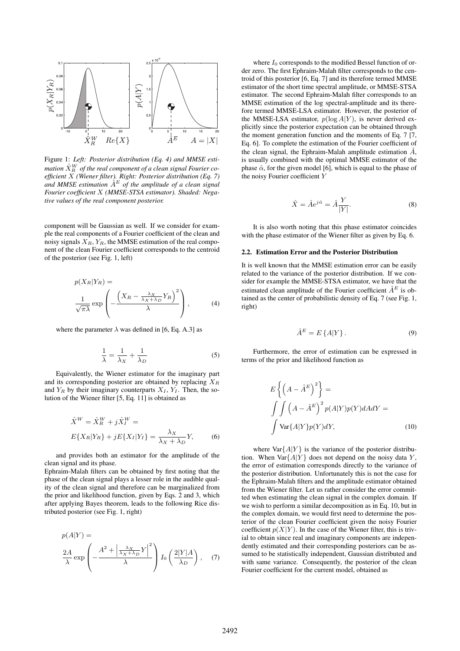

Figure 1: *Left: Posterior distribution (Eq. 4) and MMSE esti*mation  $\hat{X}^W_R$  of the real component of a clean signal Fourier co*efficient* X *(Wiener filter). Right: Posterior distribution (Eq. 7)* and MMSE estimation  $\hat{A}^E$  of the amplitude of a clean signal *Fourier coefficient* X *(MMSE-STSA estimator). Shaded: Negative values of the real component posterior.*

component will be Gaussian as well. If we consider for example the real components of a Fourier coefficient of the clean and noisy signals  $X_R$ ,  $Y_R$ , the MMSE estimation of the real component of the clean Fourier coefficient corresponds to the centroid of the posterior (see Fig. 1, left)

$$
p(X_R|Y_R) = \frac{1}{\sqrt{\pi\lambda}} \exp\left(-\frac{\left(X_R - \frac{\lambda_X}{\lambda_X + \lambda_D} Y_R\right)^2}{\lambda}\right),\tag{4}
$$

where the parameter  $\lambda$  was defined in [6, Eq. A.3] as

$$
\frac{1}{\lambda} = \frac{1}{\lambda_X} + \frac{1}{\lambda_D} \tag{5}
$$

Equivalently, the Wiener estimator for the imaginary part and its corresponding posterior are obtained by replacing  $X_R$ and  $Y_R$  by their imaginary counterparts  $X_I, Y_I$ . Then, the solution of the Wiener filter [5, Eq. 11] is obtained as

$$
\hat{X}^{W} = \hat{X}_{R}^{W} + j\hat{X}_{I}^{W} =
$$
  

$$
E\{X_{R}|Y_{R}\} + jE\{X_{I}|Y_{I}\} = \frac{\lambda_{X}}{\lambda_{X} + \lambda_{D}}Y,
$$
 (6)

and provides both an estimator for the amplitude of the clean signal and its phase.

Ephraim-Malah filters can be obtained by first noting that the phase of the clean signal plays a lesser role in the audible quality of the clean signal and therefore can be marginalized from the prior and likelihood function, given by Eqs. 2 and 3, which after applying Bayes theorem, leads to the following Rice distributed posterior (see Fig. 1, right)

$$
p(A|Y) =
$$
  

$$
\frac{2A}{\lambda} \exp\left(-\frac{A^2 + \left|\frac{\lambda_X}{\lambda_X + \lambda_D}Y\right|^2}{\lambda}\right) I_0\left(\frac{2|Y|A}{\lambda_D}\right), \quad (7)
$$

where  $I_0$  corresponds to the modified Bessel function of order zero. The first Ephraim-Malah filter corresponds to the centroid of this posterior [6, Eq. 7] and its therefore termed MMSE estimator of the short time spectral amplitude, or MMSE-STSA estimator. The second Ephraim-Malah filter corresponds to an MMSE estimation of the log spectral-amplitude and its therefore termed MMSE-LSA estimator. However, the posterior of the MMSE-LSA estimator,  $p(\log A|Y)$ , is never derived explicitly since the posterior expectation can be obtained through the moment generation function and the moments of Eq. 7 [7, Eq. 6]. To complete the estimation of the Fourier coefficient of the clean signal, the Ephraim-Malah amplitude estimation  $\hat{A}$ , is usually combined with the optimal MMSE estimator of the phase  $\hat{\alpha}$ , for the given model [6], which is equal to the phase of the noisy Fourier coefficient Y

$$
\hat{X} = \hat{A}e^{j\hat{\alpha}} = \hat{A}\frac{Y}{|Y|}.
$$
\n(8)

It is also worth noting that this phase estimator coincides with the phase estimator of the Wiener filter as given by Eq. 6.

#### 2.2. Estimation Error and the Posterior Distribution

It is well known that the MMSE estimation error can be easily related to the variance of the posterior distribution. If we consider for example the MMSE-STSA estimator, we have that the estimated clean amplitude of the Fourier coefficient  $\hat{A}^E$  is obtained as the center of probabilistic density of Eq. 7 (see Fig. 1, right)

$$
\hat{A}^E = E\{A|Y\}.
$$
\n(9)

Furthermore, the error of estimation can be expressed in terms of the prior and likelihood function as

$$
E\left\{ \left(A - \hat{A}^{E}\right)^{2} \right\} =
$$
  

$$
\int \int \left(A - \hat{A}^{E}\right)^{2} p(A|Y)p(Y)dAdY =
$$
  

$$
\int \text{Var}\{A|Y\}p(Y)dY,
$$
 (10)

where  $\text{Var}\{A|Y\}$  is the variance of the posterior distribution. When  $\text{Var}\{A|Y\}$  does not depend on the noisy data Y, the error of estimation corresponds directly to the variance of the posterior distribution. Unfortunately this is not the case for the Ephraim-Malah filters and the amplitude estimator obtained from the Wiener filter. Let us rather consider the error committed when estimating the clean signal in the complex domain. If we wish to perform a similar decomposition as in Eq. 10, but in the complex domain, we would first need to determine the posterior of the clean Fourier coefficient given the noisy Fourier coefficient  $p(X|Y)$ . In the case of the Wiener filter, this is trivial to obtain since real and imaginary components are independently estimated and their corresponding posteriors can be assumed to be statistically independent, Gaussian distributed and with same variance. Consequently, the posterior of the clean Fourier coefficient for the current model, obtained as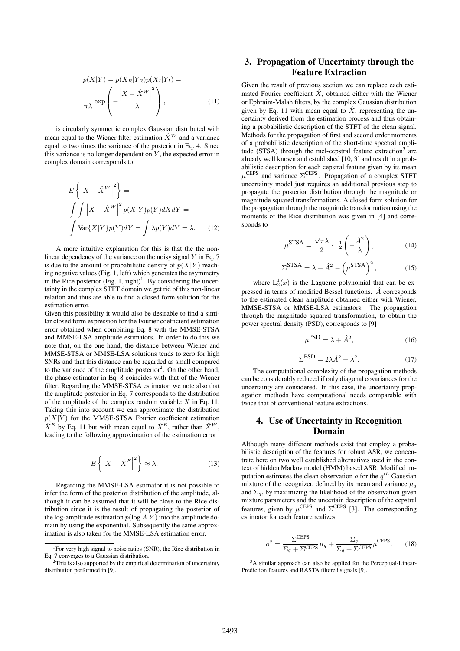$$
p(X|Y) = p(X_R|Y_R)p(X_I|Y_I) =
$$
  

$$
\frac{1}{\pi\lambda} \exp\left(-\frac{|X - \hat{X}^W|^2}{\lambda}\right),
$$
 (11)

is circularly symmetric complex Gaussian distributed with mean equal to the Wiener filter estimation  $\hat{X}^{W}$  and a variance equal to two times the variance of the posterior in Eq. 4. Since this variance is no longer dependent on  $Y$ , the expected error in complex domain corresponds to

$$
E\left\{ \left| X - \hat{X}^W \right|^2 \right\} =
$$
  

$$
\int \int \left| X - \hat{X}^W \right|^2 p(X|Y)p(Y)dXdY =
$$
  

$$
\int \text{Var}\{X|Y\}p(Y)dY = \int \lambda p(Y)dY = \lambda.
$$
 (12)

A more intuitive explanation for this is that the the nonlinear dependency of the variance on the noisy signal  $Y$  in Eq. 7 is due to the amount of probabilistic density of  $p(X|Y)$  reaching negative values (Fig. 1, left) which generates the asymmetry in the Rice posterior  $(Fig. 1, right)<sup>1</sup>$ . By considering the uncertainty in the complex STFT domain we get rid of this non-linear relation and thus are able to find a closed form solution for the estimation error.

Given this possibility it would also be desirable to find a similar closed form expression for the Fourier coefficient estimation error obtained when combining Eq. 8 with the MMSE-STSA and MMSE-LSA amplitude estimators. In order to do this we note that, on the one hand, the distance between Wiener and MMSE-STSA or MMSE-LSA solutions tends to zero for high SNRs and that this distance can be regarded as small compared to the variance of the amplitude posterior<sup>2</sup>. On the other hand, the phase estimator in Eq. 8 coincides with that of the Wiener filter. Regarding the MMSE-STSA estimator, we note also that the amplitude posterior in Eq. 7 corresponds to the distribution of the amplitude of the complex random variable  $X$  in Eq. 11. Taking this into account we can approximate the distribution  $p(X|Y)$  for the MMSE-STSA Fourier coefficient estimation  $\hat{X}^E$  by Eq. 11 but with mean equal to  $\hat{X}^E$ , rather than  $\hat{X}^W$ , leading to the following approximation of the estimation error

$$
E\left\{ \left| X - \hat{X}^{E} \right|^{2} \right\} \approx \lambda.
$$
 (13)

Regarding the MMSE-LSA estimator it is not possible to infer the form of the posterior distribution of the amplitude, although it can be assumed that it will be close to the Rice distribution since it is the result of propagating the posterior of the log-amplitude estimation  $p(\log A|Y)$  into the amplitude domain by using the exponential. Subsequently the same approximation is also taken for the MMSE-LSA estimation error.

# 3. Propagation of Uncertainty through the Feature Extraction

Given the result of previous section we can replace each estimated Fourier coefficient  $\hat{X}$ , obtained either with the Wiener or Ephraim-Malah filters, by the complex Gaussian distribution given by Eq. 11 with mean equal to  $\hat{X}$ , representing the uncertainty derived from the estimation process and thus obtaining a probabilistic description of the STFT of the clean signal. Methods for the propagation of first and second order moments of a probabilistic description of the short-time spectral amplitude (STSA) through the mel-cepstral feature extraction<sup>3</sup> are already well known and established [10, 3] and result in a probabilistic description for each cepstral feature given by its mean  $\mu^{\text{CEPS}}$  and variance  $\Sigma^{\text{CEPS}}$ . Propagation of a complex STFT uncertainty model just requires an additional previous step to propagate the posterior distribution through the magnitude or magnitude squared transformations. A closed form solution for the propagation through the magnitude transformation using the moments of the Rice distribution was given in [4] and corresponds to

$$
\mu^{\text{STSA}} = \frac{\sqrt{\pi\lambda}}{2} \cdot \mathcal{L}_2^1 \left( -\frac{\hat{A}^2}{\lambda} \right),\tag{14}
$$

$$
\Sigma^{\text{STSA}} = \lambda + \hat{A}^2 - \left(\mu^{\text{STSA}}\right)^2,\tag{15}
$$

where  $L_2^1(x)$  is the Laguerre polynomial that can be expressed in terms of modified Bessel functions.  $\hat{A}$  corresponds to the estimated clean amplitude obtained either with Wiener, MMSE-STSA or MMSE-LSA estimators. The propagation through the magnitude squared transformation, to obtain the power spectral density (PSD), corresponds to [9]

$$
\mu^{\text{PSD}} = \lambda + \hat{A}^2,\tag{16}
$$

$$
\Sigma^{\text{PSD}} = 2\lambda \hat{A}^2 + \lambda^2. \tag{17}
$$

The computational complexity of the propagation methods can be considerably reduced if only diagonal covariances for the uncertainty are considered. In this case, the uncertainty propagation methods have computational needs comparable with twice that of conventional feature extractions.

### 4. Use of Uncertainty in Recognition Domain

Although many different methods exist that employ a probabilistic description of the features for robust ASR, we concentrate here on two well established alternatives used in the context of hidden Markov model (HMM) based ASR. Modified imputation estimates the clean observation  $o$  for the  $q^{th}$  Gaussian mixture of the recognizer, defined by its mean and variance  $\mu_q$ and  $\Sigma_q$ , by maximizing the likelihood of the observation given mixture parameters and the uncertain description of the cepstral features, given by  $\mu^{\text{CEPS}}$  and  $\Sigma^{\text{CEPS}}$  [3]. The corresponding estimator for each feature realizes

$$
\hat{\sigma}^q = \frac{\Sigma^{\text{CEPS}}}{\Sigma_q + \Sigma^{\text{CEPS}}}\mu_q + \frac{\Sigma_q}{\Sigma_q + \Sigma^{\text{CEPS}}}\mu^{\text{CEPS}}.\tag{18}
$$

<sup>1</sup>For very high signal to noise ratios (SNR), the Rice distribution in Eq. 7 converges to a Gaussian distribution.

 $2$ This is also supported by the empirical determination of uncertainty distribution performed in [9].

<sup>&</sup>lt;sup>3</sup>A similar approach can also be applied for the Perceptual-Linear-Prediction features and RASTA filtered signals [9].